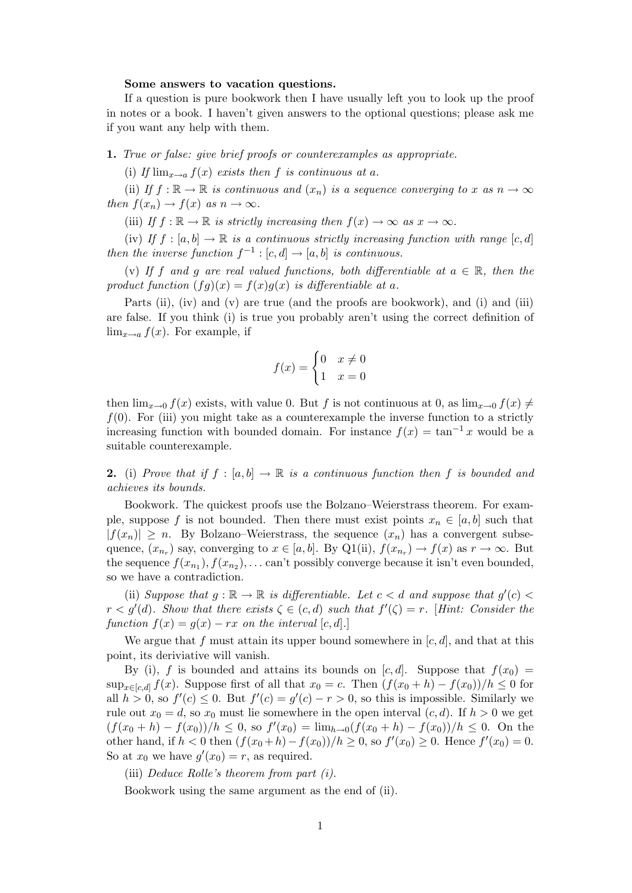## Some answers to vacation questions.

If a question is pure bookwork then I have usually left you to look up the proof in notes or a book. I haven't given answers to the optional questions; please ask me if you want any help with them.

1. True or false: give brief proofs or counterexamples as appropriate.

(i) If  $\lim_{x\to a} f(x)$  exists then f is continuous at a.

(ii) If  $f : \mathbb{R} \to \mathbb{R}$  is continuous and  $(x_n)$  is a sequence converging to x as  $n \to \infty$ then  $f(x_n) \to f(x)$  as  $n \to \infty$ .

(iii) If  $f : \mathbb{R} \to \mathbb{R}$  is strictly increasing then  $f(x) \to \infty$  as  $x \to \infty$ .

(iv) If  $f : [a, b] \to \mathbb{R}$  is a continuous strictly increasing function with range  $[c, d]$ then the inverse function  $f^{-1}$ :  $[c, d] \rightarrow [a, b]$  is continuous.

(v) If f and g are real valued functions, both differentiable at  $a \in \mathbb{R}$ , then the product function  $(fg)(x) = f(x)g(x)$  is differentiable at a.

Parts (ii), (iv) and (v) are true (and the proofs are bookwork), and (i) and (iii) are false. If you think (i) is true you probably aren't using the correct definition of  $\lim_{x\to a} f(x)$ . For example, if

$$
f(x) = \begin{cases} 0 & x \neq 0 \\ 1 & x = 0 \end{cases}
$$

then  $\lim_{x\to 0} f(x)$  exists, with value 0. But f is not continuous at 0, as  $\lim_{x\to 0} f(x) \neq$  $f(0)$ . For (iii) you might take as a counterexample the inverse function to a strictly increasing function with bounded domain. For instance  $f(x) = \tan^{-1} x$  would be a suitable counterexample.

2. (i) Prove that if  $f : [a, b] \to \mathbb{R}$  is a continuous function then f is bounded and achieves its bounds.

Bookwork. The quickest proofs use the Bolzano–Weierstrass theorem. For example, suppose f is not bounded. Then there must exist points  $x_n \in [a, b]$  such that  $|f(x_n)| \geq n$ . By Bolzano–Weierstrass, the sequence  $(x_n)$  has a convergent subsequence,  $(x_{n_r})$  say, converging to  $x \in [a, b]$ . By Q1(ii),  $f(x_{n_r}) \to f(x)$  as  $r \to \infty$ . But the sequence  $f(x_{n_1}), f(x_{n_2}), \ldots$  can't possibly converge because it isn't even bounded, so we have a contradiction.

(ii) Suppose that  $g : \mathbb{R} \to \mathbb{R}$  is differentiable. Let  $c < d$  and suppose that  $g'(c) <$  $r < g'(d)$ . Show that there exists  $\zeta \in (c, d)$  such that  $f'(\zeta) = r$ . [Hint: Consider the function  $f(x) = g(x) - rx$  on the interval [c, d].]

We argue that f must attain its upper bound somewhere in  $[c, d]$ , and that at this point, its deriviative will vanish.

By (i), f is bounded and attains its bounds on  $[c, d]$ . Suppose that  $f(x_0) =$  $\sup_{x \in [c,d]} f(x)$ . Suppose first of all that  $x_0 = c$ . Then  $(f(x_0 + h) - f(x_0))/h \leq 0$  for all  $h > 0$ , so  $f'(c) \leq 0$ . But  $f'(c) = g'(c) - r > 0$ , so this is impossible. Similarly we rule out  $x_0 = d$ , so  $x_0$  must lie somewhere in the open interval  $(c, d)$ . If  $h > 0$  we get  $(f(x_0 + h) - f(x_0))/h \leq 0$ , so  $f'(x_0) = \lim_{h\to 0} (f(x_0 + h) - f(x_0))/h \leq 0$ . On the other hand, if  $h < 0$  then  $(f(x_0 + h) - f(x_0))/h \ge 0$ , so  $f'(x_0) \ge 0$ . Hence  $f'(x_0) = 0$ . So at  $x_0$  we have  $g'(x_0) = r$ , as required.

(iii) Deduce Rolle's theorem from part (i).

Bookwork using the same argument as the end of (ii).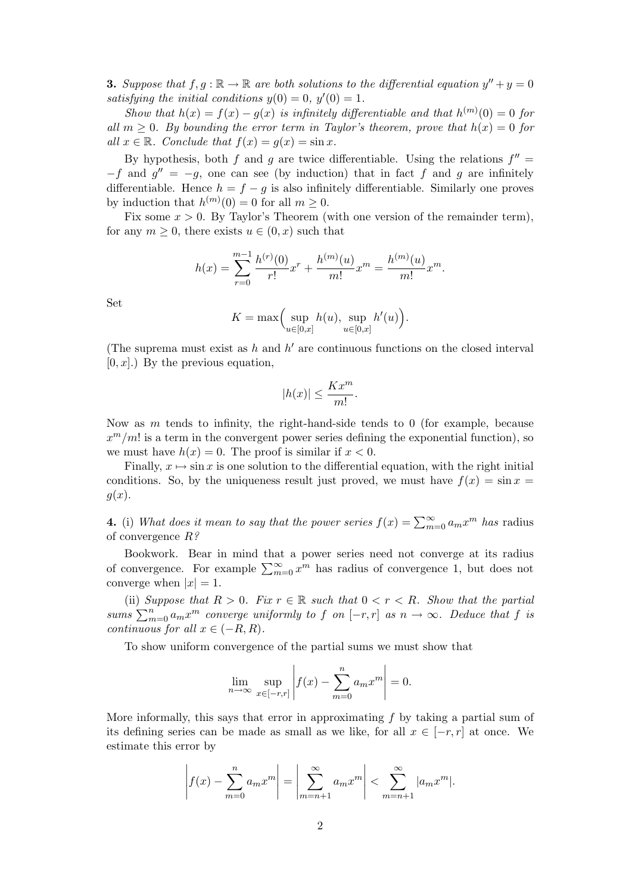**3.** Suppose that  $f, g : \mathbb{R} \to \mathbb{R}$  are both solutions to the differential equation  $y'' + y = 0$ satisfying the initial conditions  $y(0) = 0$ ,  $y'(0) = 1$ .

Show that  $h(x) = f(x) - g(x)$  is infinitely differentiable and that  $h^{(m)}(0) = 0$  for all  $m \geq 0$ . By bounding the error term in Taylor's theorem, prove that  $h(x) = 0$  for all  $x \in \mathbb{R}$ . Conclude that  $f(x) = g(x) = \sin x$ .

By hypothesis, both f and g are twice differentiable. Using the relations  $f'' =$  $-f$  and  $g'' = -g$ , one can see (by induction) that in fact f and g are infinitely differentiable. Hence  $h = f - g$  is also infinitely differentiable. Similarly one proves by induction that  $h^{(m)}(0) = 0$  for all  $m \geq 0$ .

Fix some  $x > 0$ . By Taylor's Theorem (with one version of the remainder term), for any  $m \geq 0$ , there exists  $u \in (0, x)$  such that

$$
h(x) = \sum_{r=0}^{m-1} \frac{h^{(r)}(0)}{r!} x^r + \frac{h^{(m)}(u)}{m!} x^m = \frac{h^{(m)}(u)}{m!} x^m.
$$

Set

$$
K = \max\Bigl(\sup_{u \in [0,x]} h(u), \sup_{u \in [0,x]} h'(u)\Bigr).
$$

(The suprema must exist as  $h$  and  $h'$  are continuous functions on the closed interval  $[0, x]$ .) By the previous equation,

$$
|h(x)| \le \frac{Kx^m}{m!}.
$$

Now as  $m$  tends to infinity, the right-hand-side tends to 0 (for example, because  $x^m/m!$  is a term in the convergent power series defining the exponential function), so we must have  $h(x) = 0$ . The proof is similar if  $x < 0$ .

Finally,  $x \mapsto \sin x$  is one solution to the differential equation, with the right initial conditions. So, by the uniqueness result just proved, we must have  $f(x) = \sin x =$  $q(x)$ .

**4.** (i) What does it mean to say that the power series  $f(x) = \sum_{m=0}^{\infty} a_m x^m$  has radius of convergence  $R$ ?

Bookwork. Bear in mind that a power series need not converge at its radius of convergence. For example  $\sum_{m=0}^{\infty} x^m$  has radius of convergence 1, but does not converge when  $|x| = 1$ .

(ii) Suppose that  $R > 0$ . Fix  $r \in \mathbb{R}$  such that  $0 < r < R$ . Show that the partial sums  $\sum_{m=0}^{n} a_m x^m$  converge uniformly to f on  $[-r, r]$  as  $n \to \infty$ . Deduce that f is continuous for all  $x \in (-R, R)$ .

To show uniform convergence of the partial sums we must show that

$$
\lim_{n \to \infty} \sup_{x \in [-r,r]} \left| f(x) - \sum_{m=0}^{n} a_m x^m \right| = 0.
$$

More informally, this says that error in approximating  $f$  by taking a partial sum of its defining series can be made as small as we like, for all  $x \in [-r, r]$  at once. We estimate this error by

$$
\left| f(x) - \sum_{m=0}^{n} a_m x^m \right| = \left| \sum_{m=n+1}^{\infty} a_m x^m \right| < \sum_{m=n+1}^{\infty} |a_m x^m|.
$$